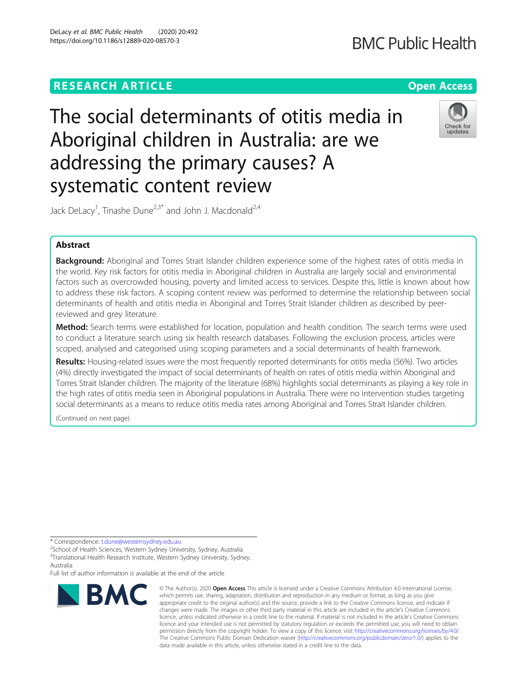DeLacy et al. BMC Public Health (2020) 20:492 https://doi.org/10.1186/s12889-020-08570-3

The social determinants of otitis media in Aboriginal children in Australia: are we addressing the primary causes? A systematic content review



Jack DeLacy<sup>1</sup>, Tinashe Dune<sup>2,3\*</sup> and John J. Macdonald<sup>2,4</sup>

# Abstract

Background: Aboriginal and Torres Strait Islander children experience some of the highest rates of otitis media in the world. Key risk factors for otitis media in Aboriginal children in Australia are largely social and environmental factors such as overcrowded housing, poverty and limited access to services. Despite this, little is known about how to address these risk factors. A scoping content review was performed to determine the relationship between social determinants of health and otitis media in Aboriginal and Torres Strait Islander children as described by peerreviewed and grey literature.

Method: Search terms were established for location, population and health condition. The search terms were used to conduct a literature search using six health research databases. Following the exclusion process, articles were scoped, analysed and categorised using scoping parameters and a social determinants of health framework.

Results: Housing-related issues were the most frequently reported determinants for otitis media (56%). Two articles (4%) directly investigated the impact of social determinants of health on rates of otitis media within Aboriginal and Torres Strait Islander children. The majority of the literature (68%) highlights social determinants as playing a key role in the high rates of otitis media seen in Aboriginal populations in Australia. There were no intervention studies targeting social determinants as a means to reduce otitis media rates among Aboriginal and Torres Strait Islander children.

(Continued on next page)

\* Correspondence: [t.dune@westernsydney.edu.au](mailto:t.dune@westernsydney.edu.au) <sup>2</sup>

 $2$ School of Health Sciences, Western Sydney University, Sydney, Australia <sup>3</sup>Translational Health Research Institute, Western Sydney University, Sydney, Australia

Full list of author information is available at the end of the article



<sup>©</sup> The Author(s), 2020 **Open Access** This article is licensed under a Creative Commons Attribution 4.0 International License, which permits use, sharing, adaptation, distribution and reproduction in any medium or format, as long as you give appropriate credit to the original author(s) and the source, provide a link to the Creative Commons licence, and indicate if changes were made. The images or other third party material in this article are included in the article's Creative Commons licence, unless indicated otherwise in a credit line to the material. If material is not included in the article's Creative Commons licence and your intended use is not permitted by statutory regulation or exceeds the permitted use, you will need to obtain permission directly from the copyright holder. To view a copy of this licence, visit [http://creativecommons.org/licenses/by/4.0/.](http://creativecommons.org/licenses/by/4.0/) The Creative Commons Public Domain Dedication waiver [\(http://creativecommons.org/publicdomain/zero/1.0/](http://creativecommons.org/publicdomain/zero/1.0/)) applies to the data made available in this article, unless otherwise stated in a credit line to the data.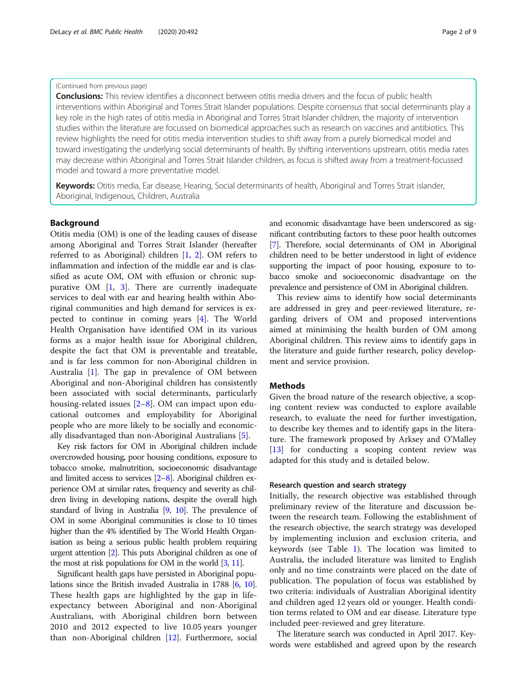# (Continued from previous page)

**Conclusions:** This review identifies a disconnect between otitis media drivers and the focus of public health interventions within Aboriginal and Torres Strait Islander populations. Despite consensus that social determinants play a key role in the high rates of otitis media in Aboriginal and Torres Strait Islander children, the majority of intervention studies within the literature are focussed on biomedical approaches such as research on vaccines and antibiotics. This review highlights the need for otitis media intervention studies to shift away from a purely biomedical model and toward investigating the underlying social determinants of health. By shifting interventions upstream, otitis media rates may decrease within Aboriginal and Torres Strait Islander children, as focus is shifted away from a treatment-focussed model and toward a more preventative model.

Keywords: Otitis media, Ear disease, Hearing, Social determinants of health, Aboriginal and Torres Strait islander, Aboriginal, Indigenous, Children, Australia

## Background

Otitis media (OM) is one of the leading causes of disease among Aboriginal and Torres Strait Islander (hereafter referred to as Aboriginal) children [[1,](#page-8-0) [2](#page-8-0)]. OM refers to inflammation and infection of the middle ear and is classified as acute OM, OM with effusion or chronic suppurative OM [[1,](#page-8-0) [3](#page-8-0)]. There are currently inadequate services to deal with ear and hearing health within Aboriginal communities and high demand for services is expected to continue in coming years [[4\]](#page-8-0). The World Health Organisation have identified OM in its various forms as a major health issue for Aboriginal children, despite the fact that OM is preventable and treatable, and is far less common for non-Aboriginal children in Australia [\[1\]](#page-8-0). The gap in prevalence of OM between Aboriginal and non-Aboriginal children has consistently been associated with social determinants, particularly housing-related issues [[2](#page-8-0)–[8\]](#page-8-0). OM can impact upon educational outcomes and employability for Aboriginal people who are more likely to be socially and economically disadvantaged than non-Aboriginal Australians [[5\]](#page-8-0).

Key risk factors for OM in Aboriginal children include overcrowded housing, poor housing conditions, exposure to tobacco smoke, malnutrition, socioeconomic disadvantage and limited access to services [\[2](#page-8-0)–[8](#page-8-0)]. Aboriginal children experience OM at similar rates, frequency and severity as children living in developing nations, despite the overall high standard of living in Australia [\[9,](#page-8-0) [10](#page-8-0)]. The prevalence of OM in some Aboriginal communities is close to 10 times higher than the 4% identified by The World Health Organisation as being a serious public health problem requiring urgent attention [\[2\]](#page-8-0). This puts Aboriginal children as one of the most at risk populations for OM in the world [[3](#page-8-0), [11](#page-8-0)].

Significant health gaps have persisted in Aboriginal populations since the British invaded Australia in 1788 [\[6](#page-8-0), [10](#page-8-0)]. These health gaps are highlighted by the gap in lifeexpectancy between Aboriginal and non-Aboriginal Australians, with Aboriginal children born between 2010 and 2012 expected to live 10.05 years younger than non-Aboriginal children [\[12\]](#page-8-0). Furthermore, social and economic disadvantage have been underscored as significant contributing factors to these poor health outcomes [[7](#page-8-0)]. Therefore, social determinants of OM in Aboriginal children need to be better understood in light of evidence supporting the impact of poor housing, exposure to tobacco smoke and socioeconomic disadvantage on the prevalence and persistence of OM in Aboriginal children.

This review aims to identify how social determinants are addressed in grey and peer-reviewed literature, regarding drivers of OM and proposed interventions aimed at minimising the health burden of OM among Aboriginal children. This review aims to identify gaps in the literature and guide further research, policy development and service provision.

# Methods

Given the broad nature of the research objective, a scoping content review was conducted to explore available research, to evaluate the need for further investigation, to describe key themes and to identify gaps in the literature. The framework proposed by Arksey and O'Malley [[13\]](#page-8-0) for conducting a scoping content review was adapted for this study and is detailed below.

## Research question and search strategy

Initially, the research objective was established through preliminary review of the literature and discussion between the research team. Following the establishment of the research objective, the search strategy was developed by implementing inclusion and exclusion criteria, and keywords (see Table [1\)](#page-2-0). The location was limited to Australia, the included literature was limited to English only and no time constraints were placed on the date of publication. The population of focus was established by two criteria: individuals of Australian Aboriginal identity and children aged 12 years old or younger. Health condition terms related to OM and ear disease. Literature type included peer-reviewed and grey literature.

The literature search was conducted in April 2017. Keywords were established and agreed upon by the research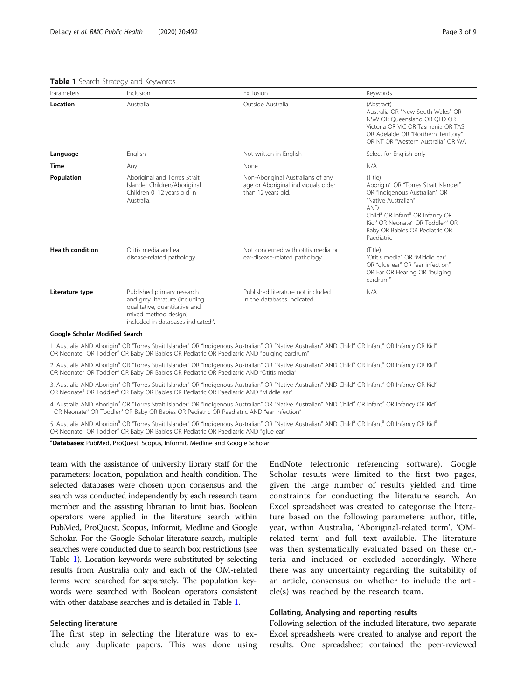## <span id="page-2-0"></span>Table 1 Search Strategy and Keywords

| Parameters              | Inclusion                                                                                                                                                               | Exclusion                                                                                      | Keywords                                                                                                                                                                                                                                                                                                             |
|-------------------------|-------------------------------------------------------------------------------------------------------------------------------------------------------------------------|------------------------------------------------------------------------------------------------|----------------------------------------------------------------------------------------------------------------------------------------------------------------------------------------------------------------------------------------------------------------------------------------------------------------------|
| Location                | Australia                                                                                                                                                               | Outside Australia                                                                              | (Abstract)<br>Australia OR "New South Wales" OR<br>NSW OR Oueensland OR OLD OR<br>Victoria OR VIC OR Tasmania OR TAS<br>OR Adelaide OR "Northern Territory"<br>OR NT OR "Western Australia" OR WA                                                                                                                    |
| Language                | English                                                                                                                                                                 | Not written in English                                                                         | Select for English only                                                                                                                                                                                                                                                                                              |
| Time                    | Any                                                                                                                                                                     | None                                                                                           | N/A                                                                                                                                                                                                                                                                                                                  |
| Population              | Aboriginal and Torres Strait<br>Islander Children/Aboriginal<br>Children 0-12 years old in<br>Australia.                                                                | Non-Aboriginal Australians of any<br>age or Aboriginal individuals older<br>than 12 years old. | (Title)<br>Aborigin <sup>a</sup> OR "Torres Strait Islander"<br>OR "Indigenous Australian" OR<br>"Native Australian"<br><b>AND</b><br>Child <sup>a</sup> OR Infant <sup>a</sup> OR Infancy OR<br>Kid <sup>a</sup> OR Neonate <sup>a</sup> OR Toddler <sup>a</sup> OR<br>Baby OR Babies OR Pediatric OR<br>Paediatric |
| <b>Health condition</b> | Otitis media and ear<br>disease-related pathology                                                                                                                       | Not concerned with otitis media or<br>ear-disease-related pathology                            | (Title)<br>"Otitis media" OR "Middle ear"<br>OR "glue ear" OR "ear infection"<br>OR Ear OR Hearing OR "bulging<br>eardrum"                                                                                                                                                                                           |
| Literature type         | Published primary research<br>and grey literature (including<br>qualitative, quantitative and<br>mixed method design)<br>included in databases indicated <sup>a</sup> . | Published literature not included<br>in the databases indicated.                               | N/A                                                                                                                                                                                                                                                                                                                  |

#### Google Scholar Modified Search

1. Australia AND Aborigin<sup>a</sup> OR "Torres Strait Islander" OR "Indigenous Australian" OR "Native Australian" AND Child<sup>a</sup> OR Infant<sup>a</sup> OR Infancy OR Kid<sup>a</sup> OR Neonate<sup>a</sup> OR Toddler<sup>a</sup> OR Baby OR Babies OR Pediatric OR Paediatric AND "bulging eardrum"

2. Australia AND Aborigin<sup>a</sup> OR "Torres Strait Islander" OR "Indigenous Australian" OR "Native Australian" AND Child<sup>a</sup> OR Infant<sup>a</sup> OR Infancy OR Kid<sup>a</sup> OR Neonate<sup>a</sup> OR Toddler<sup>a</sup> OR Baby OR Babies OR Pediatric OR Paediatric AND "Otitis media"

3. Australia AND Aborigin<sup>a</sup> OR "Torres Strait Islander" OR "Indigenous Australian" OR "Native Australian" AND Child<sup>a</sup> OR Infant<sup>a</sup> OR Infancy OR Kid<sup>a</sup> OR Neonate<sup>a</sup> OR Toddler<sup>a</sup> OR Baby OR Babies OR Pediatric OR Paediatric AND "Middle ear"

4. Australia AND Aborigin<sup>a</sup> OR "Torres Strait Islander" OR "Indigenous Australian" OR "Native Australian" AND Child<sup>a</sup> OR Infant<sup>a</sup> OR Infancy OR Kid<sup>a</sup> OR Neonate<sup>a</sup> OR Toddler<sup>a</sup> OR Baby OR Babies OR Pediatric OR Paediatric AND "ear infection"

5. Australia AND Aborigin<sup>a</sup> OR "Torres Strait Islander" OR "Indigenous Australian" OR "Native Australian" AND Child<sup>a</sup> OR Infant<sup>a</sup> OR Infancy OR Kid<sup>a</sup> OR Neonate<sup>a</sup> OR Toddler<sup>a</sup> OR Baby OR Babies OR Pediatric OR Paediatric AND "glue ear"

aDatabases: PubMed, ProQuest, Scopus, Informit, Medline and Google Scholar

team with the assistance of university library staff for the parameters: location, population and health condition. The selected databases were chosen upon consensus and the search was conducted independently by each research team member and the assisting librarian to limit bias. Boolean operators were applied in the literature search within PubMed, ProQuest, Scopus, Informit, Medline and Google Scholar. For the Google Scholar literature search, multiple searches were conducted due to search box restrictions (see Table 1). Location keywords were substituted by selecting results from Australia only and each of the OM-related terms were searched for separately. The population keywords were searched with Boolean operators consistent with other database searches and is detailed in Table 1.

# Selecting literature

The first step in selecting the literature was to exclude any duplicate papers. This was done using

EndNote (electronic referencing software). Google Scholar results were limited to the first two pages, given the large number of results yielded and time constraints for conducting the literature search. An Excel spreadsheet was created to categorise the literature based on the following parameters: author, title, year, within Australia, 'Aboriginal-related term', 'OMrelated term' and full text available. The literature was then systematically evaluated based on these criteria and included or excluded accordingly. Where there was any uncertainty regarding the suitability of an article, consensus on whether to include the article(s) was reached by the research team.

## Collating, Analysing and reporting results

Following selection of the included literature, two separate Excel spreadsheets were created to analyse and report the results. One spreadsheet contained the peer-reviewed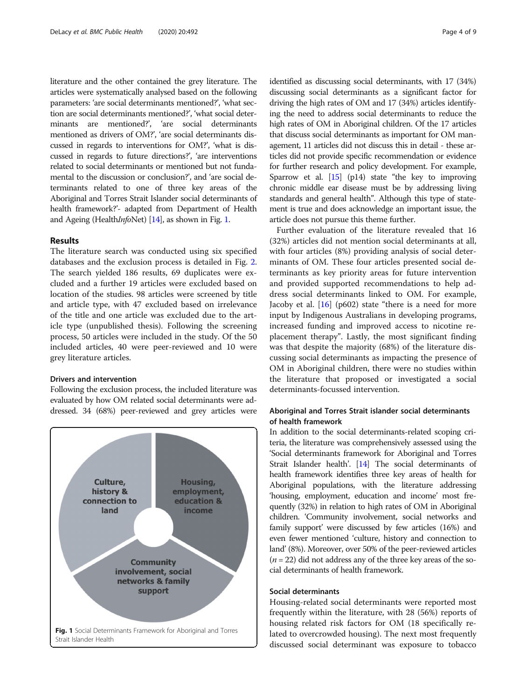literature and the other contained the grey literature. The articles were systematically analysed based on the following parameters: 'are social determinants mentioned?', 'what section are social determinants mentioned?', 'what social determinants are mentioned?', 'are social determinants mentioned as drivers of OM?', 'are social determinants discussed in regards to interventions for OM?', 'what is discussed in regards to future directions?', 'are interventions related to social determinants or mentioned but not fundamental to the discussion or conclusion?', and 'are social determinants related to one of three key areas of the Aboriginal and Torres Strait Islander social determinants of health framework?'- adapted from Department of Health and Ageing (Health*InfoNet*) [\[14\]](#page-8-0), as shown in Fig. 1.

# Results

The literature search was conducted using six specified databases and the exclusion process is detailed in Fig. [2](#page-4-0). The search yielded 186 results, 69 duplicates were excluded and a further 19 articles were excluded based on location of the studies. 98 articles were screened by title and article type, with 47 excluded based on irrelevance of the title and one article was excluded due to the article type (unpublished thesis). Following the screening process, 50 articles were included in the study. Of the 50 included articles, 40 were peer-reviewed and 10 were grey literature articles.

# Drivers and intervention

Following the exclusion process, the included literature was evaluated by how OM related social determinants were addressed. 34 (68%) peer-reviewed and grey articles were



identified as discussing social determinants, with 17 (34%) discussing social determinants as a significant factor for driving the high rates of OM and 17 (34%) articles identifying the need to address social determinants to reduce the high rates of OM in Aboriginal children. Of the 17 articles that discuss social determinants as important for OM management, 11 articles did not discuss this in detail - these articles did not provide specific recommendation or evidence for further research and policy development. For example, Sparrow et al. [\[15\]](#page-8-0) (p14) state "the key to improving chronic middle ear disease must be by addressing living standards and general health". Although this type of statement is true and does acknowledge an important issue, the article does not pursue this theme further.

Further evaluation of the literature revealed that 16 (32%) articles did not mention social determinants at all, with four articles (8%) providing analysis of social determinants of OM. These four articles presented social determinants as key priority areas for future intervention and provided supported recommendations to help address social determinants linked to OM. For example, Jacoby et al.  $[16]$  $[16]$  (p602) state "there is a need for more input by Indigenous Australians in developing programs, increased funding and improved access to nicotine replacement therapy". Lastly, the most significant finding was that despite the majority (68%) of the literature discussing social determinants as impacting the presence of OM in Aboriginal children, there were no studies within the literature that proposed or investigated a social determinants-focussed intervention.

# Aboriginal and Torres Strait islander social determinants of health framework

In addition to the social determinants-related scoping criteria, the literature was comprehensively assessed using the 'Social determinants framework for Aboriginal and Torres Strait Islander health'. [\[14\]](#page-8-0) The social determinants of health framework identifies three key areas of health for Aboriginal populations, with the literature addressing 'housing, employment, education and income' most frequently (32%) in relation to high rates of OM in Aboriginal children. 'Community involvement, social networks and family support' were discussed by few articles (16%) and even fewer mentioned 'culture, history and connection to land' (8%). Moreover, over 50% of the peer-reviewed articles  $(n = 22)$  did not address any of the three key areas of the social determinants of health framework.

# Social determinants

Housing-related social determinants were reported most frequently within the literature, with 28 (56%) reports of housing related risk factors for OM (18 specifically related to overcrowded housing). The next most frequently discussed social determinant was exposure to tobacco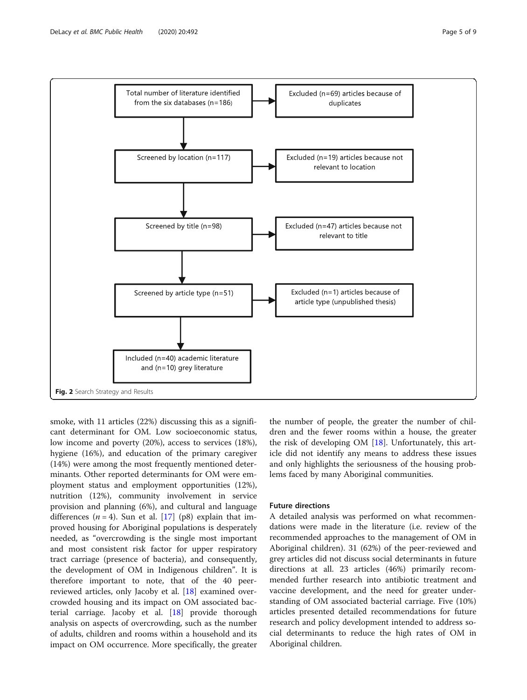<span id="page-4-0"></span>

smoke, with 11 articles (22%) discussing this as a significant determinant for OM. Low socioeconomic status, low income and poverty (20%), access to services (18%), hygiene (16%), and education of the primary caregiver (14%) were among the most frequently mentioned determinants. Other reported determinants for OM were employment status and employment opportunities (12%), nutrition (12%), community involvement in service provision and planning (6%), and cultural and language differences ( $n = 4$ ). Sun et al. [\[17\]](#page-8-0) (p8) explain that improved housing for Aboriginal populations is desperately needed, as "overcrowding is the single most important and most consistent risk factor for upper respiratory tract carriage (presence of bacteria), and consequently, the development of OM in Indigenous children". It is therefore important to note, that of the 40 peerreviewed articles, only Jacoby et al. [[18](#page-8-0)] examined overcrowded housing and its impact on OM associated bacterial carriage. Jacoby et al. [[18](#page-8-0)] provide thorough analysis on aspects of overcrowding, such as the number of adults, children and rooms within a household and its impact on OM occurrence. More specifically, the greater

the number of people, the greater the number of children and the fewer rooms within a house, the greater the risk of developing OM  $[18]$  $[18]$ . Unfortunately, this article did not identify any means to address these issues and only highlights the seriousness of the housing problems faced by many Aboriginal communities.

# Future directions

A detailed analysis was performed on what recommendations were made in the literature (i.e. review of the recommended approaches to the management of OM in Aboriginal children). 31 (62%) of the peer-reviewed and grey articles did not discuss social determinants in future directions at all. 23 articles (46%) primarily recommended further research into antibiotic treatment and vaccine development, and the need for greater understanding of OM associated bacterial carriage. Five (10%) articles presented detailed recommendations for future research and policy development intended to address social determinants to reduce the high rates of OM in Aboriginal children.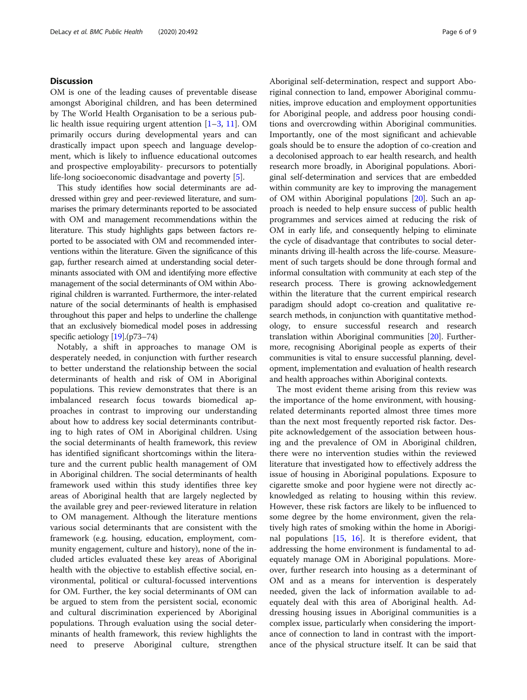# **Discussion**

OM is one of the leading causes of preventable disease amongst Aboriginal children, and has been determined by The World Health Organisation to be a serious public health issue requiring urgent attention [\[1](#page-8-0)–[3](#page-8-0), [11](#page-8-0)]. OM primarily occurs during developmental years and can drastically impact upon speech and language development, which is likely to influence educational outcomes and prospective employability- precursors to potentially life-long socioeconomic disadvantage and poverty [[5](#page-8-0)].

This study identifies how social determinants are addressed within grey and peer-reviewed literature, and summarises the primary determinants reported to be associated with OM and management recommendations within the literature. This study highlights gaps between factors reported to be associated with OM and recommended interventions within the literature. Given the significance of this gap, further research aimed at understanding social determinants associated with OM and identifying more effective management of the social determinants of OM within Aboriginal children is warranted. Furthermore, the inter-related nature of the social determinants of health is emphasised throughout this paper and helps to underline the challenge that an exclusively biomedical model poses in addressing specific aetiology [\[19\]](#page-8-0).(p73–74)

Notably, a shift in approaches to manage OM is desperately needed, in conjunction with further research to better understand the relationship between the social determinants of health and risk of OM in Aboriginal populations. This review demonstrates that there is an imbalanced research focus towards biomedical approaches in contrast to improving our understanding about how to address key social determinants contributing to high rates of OM in Aboriginal children. Using the social determinants of health framework, this review has identified significant shortcomings within the literature and the current public health management of OM in Aboriginal children. The social determinants of health framework used within this study identifies three key areas of Aboriginal health that are largely neglected by the available grey and peer-reviewed literature in relation to OM management. Although the literature mentions various social determinants that are consistent with the framework (e.g. housing, education, employment, community engagement, culture and history), none of the included articles evaluated these key areas of Aboriginal health with the objective to establish effective social, environmental, political or cultural-focussed interventions for OM. Further, the key social determinants of OM can be argued to stem from the persistent social, economic and cultural discrimination experienced by Aboriginal populations. Through evaluation using the social determinants of health framework, this review highlights the need to preserve Aboriginal culture, strengthen Aboriginal self-determination, respect and support Aboriginal connection to land, empower Aboriginal communities, improve education and employment opportunities for Aboriginal people, and address poor housing conditions and overcrowding within Aboriginal communities. Importantly, one of the most significant and achievable goals should be to ensure the adoption of co-creation and a decolonised approach to ear health research, and health research more broadly, in Aboriginal populations. Aboriginal self-determination and services that are embedded within community are key to improving the management of OM within Aboriginal populations [\[20](#page-8-0)]. Such an approach is needed to help ensure success of public health programmes and services aimed at reducing the risk of OM in early life, and consequently helping to eliminate the cycle of disadvantage that contributes to social determinants driving ill-health across the life-course. Measurement of such targets should be done through formal and informal consultation with community at each step of the research process. There is growing acknowledgement within the literature that the current empirical research paradigm should adopt co-creation and qualitative research methods, in conjunction with quantitative methodology, to ensure successful research and research translation within Aboriginal communities [\[20\]](#page-8-0). Furthermore, recognising Aboriginal people as experts of their communities is vital to ensure successful planning, development, implementation and evaluation of health research and health approaches within Aboriginal contexts.

The most evident theme arising from this review was the importance of the home environment, with housingrelated determinants reported almost three times more than the next most frequently reported risk factor. Despite acknowledgement of the association between housing and the prevalence of OM in Aboriginal children, there were no intervention studies within the reviewed literature that investigated how to effectively address the issue of housing in Aboriginal populations. Exposure to cigarette smoke and poor hygiene were not directly acknowledged as relating to housing within this review. However, these risk factors are likely to be influenced to some degree by the home environment, given the relatively high rates of smoking within the home in Aboriginal populations  $[15, 16]$  $[15, 16]$  $[15, 16]$  $[15, 16]$  $[15, 16]$ . It is therefore evident, that addressing the home environment is fundamental to adequately manage OM in Aboriginal populations. Moreover, further research into housing as a determinant of OM and as a means for intervention is desperately needed, given the lack of information available to adequately deal with this area of Aboriginal health. Addressing housing issues in Aboriginal communities is a complex issue, particularly when considering the importance of connection to land in contrast with the importance of the physical structure itself. It can be said that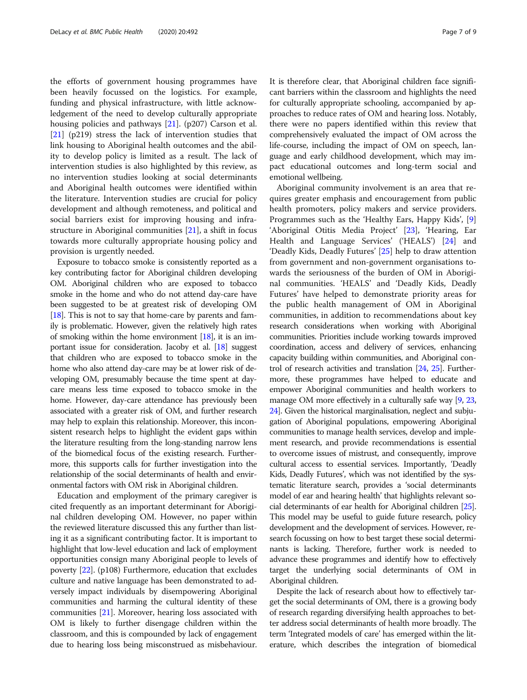the efforts of government housing programmes have been heavily focussed on the logistics. For example, funding and physical infrastructure, with little acknowledgement of the need to develop culturally appropriate housing policies and pathways [\[21](#page-8-0)]. (p207) Carson et al. [[21\]](#page-8-0) (p219) stress the lack of intervention studies that link housing to Aboriginal health outcomes and the ability to develop policy is limited as a result. The lack of intervention studies is also highlighted by this review, as no intervention studies looking at social determinants and Aboriginal health outcomes were identified within the literature. Intervention studies are crucial for policy development and although remoteness, and political and social barriers exist for improving housing and infrastructure in Aboriginal communities [\[21](#page-8-0)], a shift in focus towards more culturally appropriate housing policy and provision is urgently needed.

Exposure to tobacco smoke is consistently reported as a key contributing factor for Aboriginal children developing OM. Aboriginal children who are exposed to tobacco smoke in the home and who do not attend day-care have been suggested to be at greatest risk of developing OM [ $18$ ]. This is not to say that home-care by parents and family is problematic. However, given the relatively high rates of smoking within the home environment [\[18](#page-8-0)], it is an important issue for consideration. Jacoby et al. [\[18](#page-8-0)] suggest that children who are exposed to tobacco smoke in the home who also attend day-care may be at lower risk of developing OM, presumably because the time spent at daycare means less time exposed to tobacco smoke in the home. However, day-care attendance has previously been associated with a greater risk of OM, and further research may help to explain this relationship. Moreover, this inconsistent research helps to highlight the evident gaps within the literature resulting from the long-standing narrow lens of the biomedical focus of the existing research. Furthermore, this supports calls for further investigation into the relationship of the social determinants of health and environmental factors with OM risk in Aboriginal children.

Education and employment of the primary caregiver is cited frequently as an important determinant for Aboriginal children developing OM. However, no paper within the reviewed literature discussed this any further than listing it as a significant contributing factor. It is important to highlight that low-level education and lack of employment opportunities consign many Aboriginal people to levels of poverty [[22](#page-8-0)]. (p108) Furthermore, education that excludes culture and native language has been demonstrated to adversely impact individuals by disempowering Aboriginal communities and harming the cultural identity of these communities [\[21\]](#page-8-0). Moreover, hearing loss associated with OM is likely to further disengage children within the classroom, and this is compounded by lack of engagement due to hearing loss being misconstrued as misbehaviour. It is therefore clear, that Aboriginal children face significant barriers within the classroom and highlights the need for culturally appropriate schooling, accompanied by approaches to reduce rates of OM and hearing loss. Notably, there were no papers identified within this review that comprehensively evaluated the impact of OM across the life-course, including the impact of OM on speech, language and early childhood development, which may impact educational outcomes and long-term social and emotional wellbeing.

Aboriginal community involvement is an area that requires greater emphasis and encouragement from public health promoters, policy makers and service providers. Programmes such as the 'Healthy Ears, Happy Kids', [\[9](#page-8-0)] 'Aboriginal Otitis Media Project' [\[23](#page-8-0)], 'Hearing, Ear Health and Language Services' ('HEALS') [[24\]](#page-8-0) and 'Deadly Kids, Deadly Futures' [[25\]](#page-8-0) help to draw attention from government and non-government organisations towards the seriousness of the burden of OM in Aboriginal communities. 'HEALS' and 'Deadly Kids, Deadly Futures' have helped to demonstrate priority areas for the public health management of OM in Aboriginal communities, in addition to recommendations about key research considerations when working with Aboriginal communities. Priorities include working towards improved coordination, access and delivery of services, enhancing capacity building within communities, and Aboriginal control of research activities and translation [[24](#page-8-0), [25](#page-8-0)]. Furthermore, these programmes have helped to educate and empower Aboriginal communities and health workers to manage OM more effectively in a culturally safe way [\[9](#page-8-0), [23](#page-8-0), [24](#page-8-0)]. Given the historical marginalisation, neglect and subjugation of Aboriginal populations, empowering Aboriginal communities to manage health services, develop and implement research, and provide recommendations is essential to overcome issues of mistrust, and consequently, improve cultural access to essential services. Importantly, 'Deadly Kids, Deadly Futures', which was not identified by the systematic literature search, provides a 'social determinants model of ear and hearing health' that highlights relevant social determinants of ear health for Aboriginal children [\[25](#page-8-0)]. This model may be useful to guide future research, policy development and the development of services. However, research focussing on how to best target these social determinants is lacking. Therefore, further work is needed to advance these programmes and identify how to effectively target the underlying social determinants of OM in Aboriginal children.

Despite the lack of research about how to effectively target the social determinants of OM, there is a growing body of research regarding diversifying health approaches to better address social determinants of health more broadly. The term 'Integrated models of care' has emerged within the literature, which describes the integration of biomedical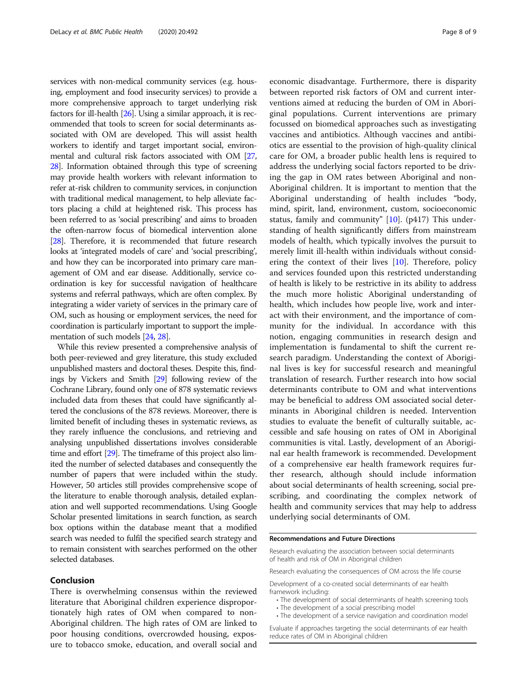services with non-medical community services (e.g. housing, employment and food insecurity services) to provide a more comprehensive approach to target underlying risk factors for ill-health [\[26\]](#page-8-0). Using a similar approach, it is recommended that tools to screen for social determinants associated with OM are developed. This will assist health workers to identify and target important social, environmental and cultural risk factors associated with OM [\[27](#page-8-0), [28](#page-8-0)]. Information obtained through this type of screening may provide health workers with relevant information to refer at-risk children to community services, in conjunction with traditional medical management, to help alleviate factors placing a child at heightened risk. This process has been referred to as 'social prescribing' and aims to broaden the often-narrow focus of biomedical intervention alone [[28](#page-8-0)]. Therefore, it is recommended that future research looks at 'integrated models of care' and 'social prescribing', and how they can be incorporated into primary care management of OM and ear disease. Additionally, service coordination is key for successful navigation of healthcare systems and referral pathways, which are often complex. By integrating a wider variety of services in the primary care of OM, such as housing or employment services, the need for coordination is particularly important to support the implementation of such models [\[24,](#page-8-0) [28\]](#page-8-0).

While this review presented a comprehensive analysis of both peer-reviewed and grey literature, this study excluded unpublished masters and doctoral theses. Despite this, findings by Vickers and Smith [[29](#page-8-0)] following review of the Cochrane Library, found only one of 878 systematic reviews included data from theses that could have significantly altered the conclusions of the 878 reviews. Moreover, there is limited benefit of including theses in systematic reviews, as they rarely influence the conclusions, and retrieving and analysing unpublished dissertations involves considerable time and effort [\[29](#page-8-0)]. The timeframe of this project also limited the number of selected databases and consequently the number of papers that were included within the study. However, 50 articles still provides comprehensive scope of the literature to enable thorough analysis, detailed explanation and well supported recommendations. Using Google Scholar presented limitations in search function, as search box options within the database meant that a modified search was needed to fulfil the specified search strategy and to remain consistent with searches performed on the other selected databases.

# Conclusion

There is overwhelming consensus within the reviewed literature that Aboriginal children experience disproportionately high rates of OM when compared to non-Aboriginal children. The high rates of OM are linked to poor housing conditions, overcrowded housing, exposure to tobacco smoke, education, and overall social and

economic disadvantage. Furthermore, there is disparity between reported risk factors of OM and current interventions aimed at reducing the burden of OM in Aboriginal populations. Current interventions are primary focussed on biomedical approaches such as investigating vaccines and antibiotics. Although vaccines and antibiotics are essential to the provision of high-quality clinical care for OM, a broader public health lens is required to address the underlying social factors reported to be driving the gap in OM rates between Aboriginal and non-Aboriginal children. It is important to mention that the Aboriginal understanding of health includes "body, mind, spirit, land, environment, custom, socioeconomic status, family and community" [[10](#page-8-0)]. (p417) This understanding of health significantly differs from mainstream models of health, which typically involves the pursuit to merely limit ill-health within individuals without considering the context of their lives  $[10]$  $[10]$ . Therefore, policy and services founded upon this restricted understanding of health is likely to be restrictive in its ability to address the much more holistic Aboriginal understanding of health, which includes how people live, work and interact with their environment, and the importance of community for the individual. In accordance with this notion, engaging communities in research design and implementation is fundamental to shift the current research paradigm. Understanding the context of Aboriginal lives is key for successful research and meaningful translation of research. Further research into how social determinants contribute to OM and what interventions may be beneficial to address OM associated social determinants in Aboriginal children is needed. Intervention studies to evaluate the benefit of culturally suitable, accessible and safe housing on rates of OM in Aboriginal communities is vital. Lastly, development of an Aboriginal ear health framework is recommended. Development of a comprehensive ear health framework requires further research, although should include information about social determinants of health screening, social prescribing, and coordinating the complex network of health and community services that may help to address underlying social determinants of OM.

## Recommendations and Future Directions

Research evaluating the association between social determinants of health and risk of OM in Aboriginal children

Research evaluating the consequences of OM across the life course

Development of a co-created social determinants of ear health framework including:

- The development of social determinants of health screening tools
- The development of a social prescribing model • The development of a service navigation and coordination model
- 

Evaluate if approaches targeting the social determinants of ear health reduce rates of OM in Aboriginal children